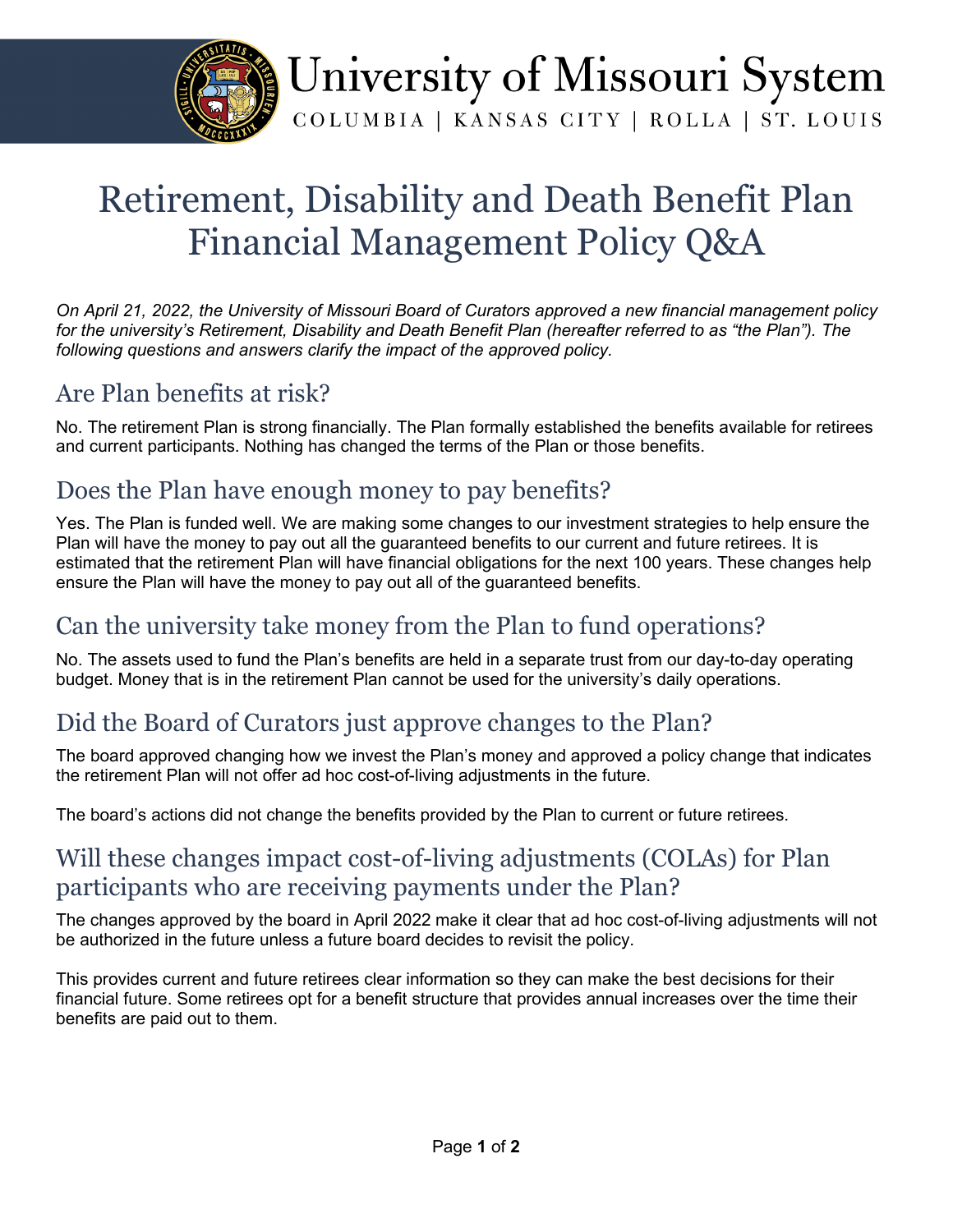

# University of Missouri System

COLUMBIA | KANSAS CITY | ROLLA | ST. LOUIS

### Retirement, Disability and Death Benefit Plan Financial Management Policy Q&A

*On April 21, 2022, the University of Missouri Board of Curators approved a new financial management policy for the university's Retirement, Disability and Death Benefit Plan (hereafter referred to as "the Plan"). The following questions and answers clarify the impact of the approved policy.*

### Are Plan benefits at risk?

No. The retirement Plan is strong financially. The Plan formally established the benefits available for retirees and current participants. Nothing has changed the terms of the Plan or those benefits.

### Does the Plan have enough money to pay benefits?

Yes. The Plan is funded well. We are making some changes to our investment strategies to help ensure the Plan will have the money to pay out all the guaranteed benefits to our current and future retirees. It is estimated that the retirement Plan will have financial obligations for the next 100 years. These changes help ensure the Plan will have the money to pay out all of the guaranteed benefits.

### Can the university take money from the Plan to fund operations?

No. The assets used to fund the Plan's benefits are held in a separate trust from our day-to-day operating budget. Money that is in the retirement Plan cannot be used for the university's daily operations.

### Did the Board of Curators just approve changes to the Plan?

The board approved changing how we invest the Plan's money and approved a policy change that indicates the retirement Plan will not offer ad hoc cost-of-living adjustments in the future.

The board's actions did not change the benefits provided by the Plan to current or future retirees.

### Will these changes impact cost-of-living adjustments (COLAs) for Plan participants who are receiving payments under the Plan?

The changes approved by the board in April 2022 make it clear that ad hoc cost-of-living adjustments will not be authorized in the future unless a future board decides to revisit the policy.

This provides current and future retirees clear information so they can make the best decisions for their financial future. Some retirees opt for a benefit structure that provides annual increases over the time their benefits are paid out to them.